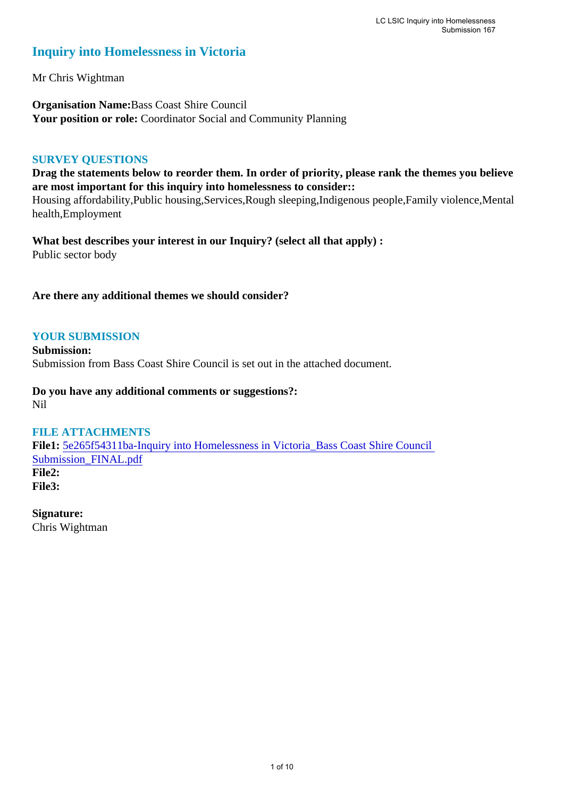# **Inquiry into Homelessness in Victoria**

Mr Chris Wightman

**Organisation Name:**Bass Coast Shire Council Your position or role: Coordinator Social and Community Planning

#### **SURVEY QUESTIONS**

**Drag the statements below to reorder them. In order of priority, please rank the themes you believe are most important for this inquiry into homelessness to consider::** 

Housing affordability,Public housing,Services,Rough sleeping,Indigenous people,Family violence,Mental health,Employment

**What best describes your interest in our Inquiry? (select all that apply) :**  Public sector body

**Are there any additional themes we should consider?**

#### **YOUR SUBMISSION**

**Submission:**  Submission from Bass Coast Shire Council is set out in the attached document.

**Do you have any additional comments or suggestions?:**  Nil

#### **FILE ATTACHMENTS**

**File1:** [5e265f54311ba-Inquiry into Homelessness in Victoria\\_Bass Coast Shire Council](https://parliament.vic.gov.au/component/rsform/submission-view-file/796c3a28335b171c88a053e1d83b590a/cde09237a06a264765f23dfb99375a73?Itemid=463)  [Submission\\_FINAL.pdf](https://parliament.vic.gov.au/component/rsform/submission-view-file/796c3a28335b171c88a053e1d83b590a/cde09237a06a264765f23dfb99375a73?Itemid=463) **File2: File3:** 

**Signature:** Chris Wightman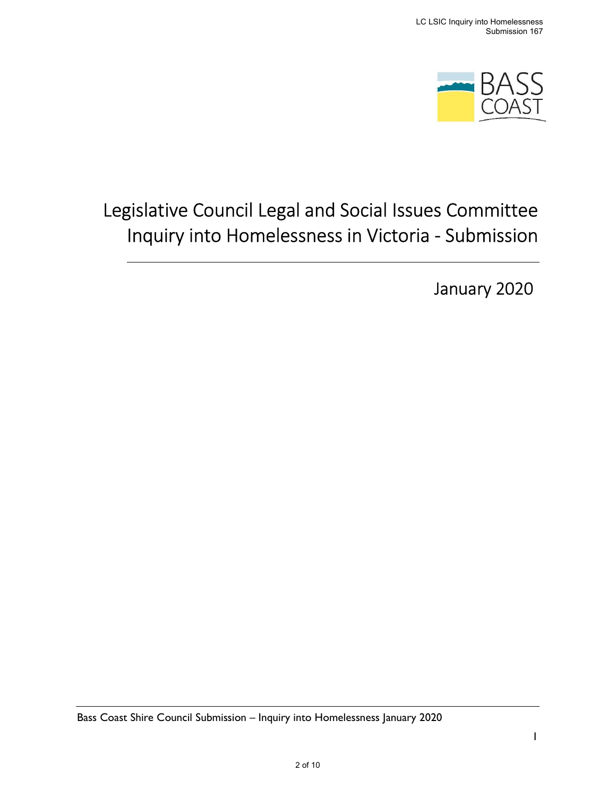

# Legislative Council Legal and Social Issues Committee Inquiry into Homelessness in Victoria - Submission

January 2020

Bass Coast Shire Council Submission – Inquiry into Homelessness January 2020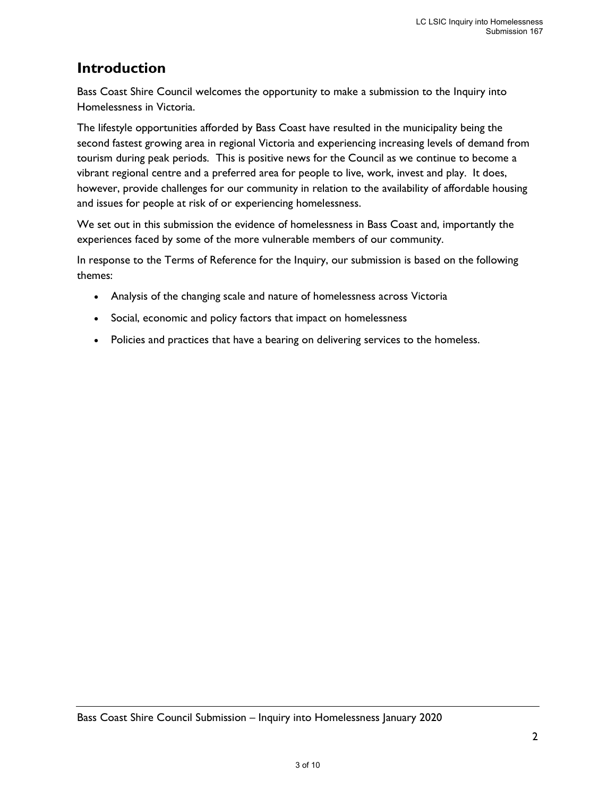# Introduction

Bass Coast Shire Council welcomes the opportunity to make a submission to the Inquiry into Homelessness in Victoria.

The lifestyle opportunities afforded by Bass Coast have resulted in the municipality being the second fastest growing area in regional Victoria and experiencing increasing levels of demand from tourism during peak periods. This is positive news for the Council as we continue to become a vibrant regional centre and a preferred area for people to live, work, invest and play. It does, however, provide challenges for our community in relation to the availability of affordable housing and issues for people at risk of or experiencing homelessness.

We set out in this submission the evidence of homelessness in Bass Coast and, importantly the experiences faced by some of the more vulnerable members of our community.

In response to the Terms of Reference for the Inquiry, our submission is based on the following themes:

- Analysis of the changing scale and nature of homelessness across Victoria
- Social, economic and policy factors that impact on homelessness
- Policies and practices that have a bearing on delivering services to the homeless.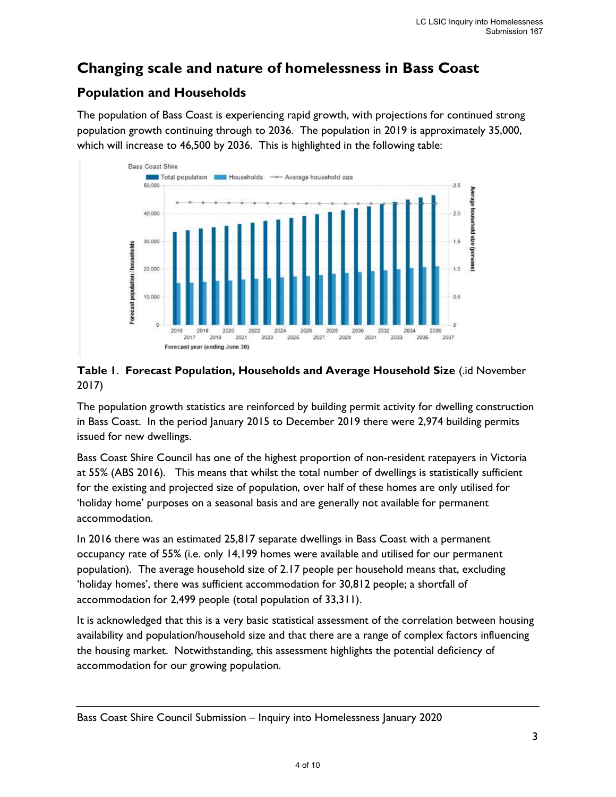# Changing scale and nature of homelessness in Bass Coast

## Population and Households

The population of Bass Coast is experiencing rapid growth, with projections for continued strong population growth continuing through to 2036. The population in 2019 is approximately 35,000, which will increase to 46,500 by 2036. This is highlighted in the following table:



#### Table 1. Forecast Population, Households and Average Household Size (.id November 2017)

The population growth statistics are reinforced by building permit activity for dwelling construction in Bass Coast. In the period January 2015 to December 2019 there were 2,974 building permits issued for new dwellings.

Bass Coast Shire Council has one of the highest proportion of non-resident ratepayers in Victoria at 55% (ABS 2016). This means that whilst the total number of dwellings is statistically sufficient for the existing and projected size of population, over half of these homes are only utilised for 'holiday home' purposes on a seasonal basis and are generally not available for permanent accommodation.

In 2016 there was an estimated 25,817 separate dwellings in Bass Coast with a permanent occupancy rate of 55% (i.e. only 14,199 homes were available and utilised for our permanent population). The average household size of 2.17 people per household means that, excluding 'holiday homes', there was sufficient accommodation for 30,812 people; a shortfall of accommodation for 2,499 people (total population of 33,311).

It is acknowledged that this is a very basic statistical assessment of the correlation between housing availability and population/household size and that there are a range of complex factors influencing the housing market. Notwithstanding, this assessment highlights the potential deficiency of accommodation for our growing population.

Bass Coast Shire Council Submission – Inquiry into Homelessness January 2020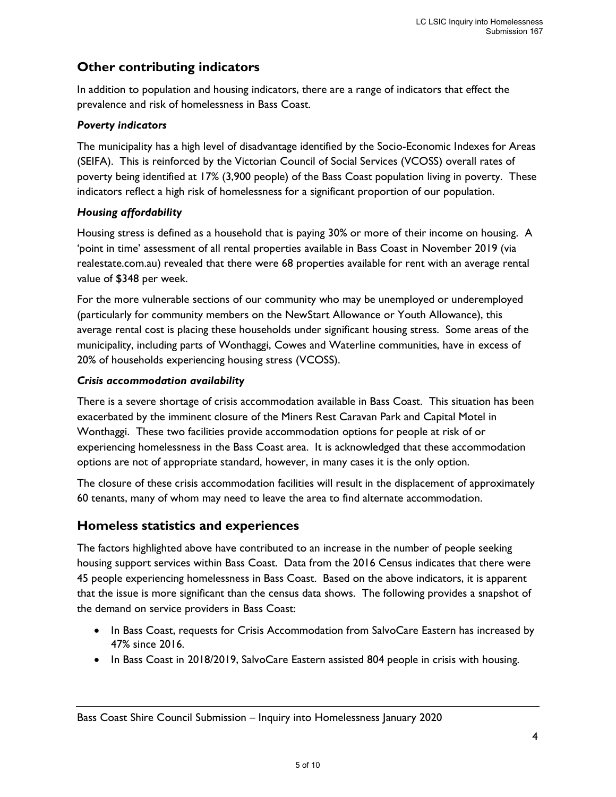## Other contributing indicators

In addition to population and housing indicators, there are a range of indicators that effect the prevalence and risk of homelessness in Bass Coast.

#### Poverty indicators

The municipality has a high level of disadvantage identified by the Socio-Economic Indexes for Areas (SEIFA). This is reinforced by the Victorian Council of Social Services (VCOSS) overall rates of poverty being identified at 17% (3,900 people) of the Bass Coast population living in poverty. These indicators reflect a high risk of homelessness for a significant proportion of our population.

#### Housing affordability

Housing stress is defined as a household that is paying 30% or more of their income on housing. A 'point in time' assessment of all rental properties available in Bass Coast in November 2019 (via realestate.com.au) revealed that there were 68 properties available for rent with an average rental value of \$348 per week.

For the more vulnerable sections of our community who may be unemployed or underemployed (particularly for community members on the NewStart Allowance or Youth Allowance), this average rental cost is placing these households under significant housing stress. Some areas of the municipality, including parts of Wonthaggi, Cowes and Waterline communities, have in excess of 20% of households experiencing housing stress (VCOSS).

#### Crisis accommodation availability

There is a severe shortage of crisis accommodation available in Bass Coast. This situation has been exacerbated by the imminent closure of the Miners Rest Caravan Park and Capital Motel in Wonthaggi. These two facilities provide accommodation options for people at risk of or experiencing homelessness in the Bass Coast area. It is acknowledged that these accommodation options are not of appropriate standard, however, in many cases it is the only option.

The closure of these crisis accommodation facilities will result in the displacement of approximately 60 tenants, many of whom may need to leave the area to find alternate accommodation.

### Homeless statistics and experiences

The factors highlighted above have contributed to an increase in the number of people seeking housing support services within Bass Coast. Data from the 2016 Census indicates that there were 45 people experiencing homelessness in Bass Coast. Based on the above indicators, it is apparent that the issue is more significant than the census data shows. The following provides a snapshot of the demand on service providers in Bass Coast:

- In Bass Coast, requests for Crisis Accommodation from SalvoCare Eastern has increased by 47% since 2016.
- In Bass Coast in 2018/2019, SalvoCare Eastern assisted 804 people in crisis with housing.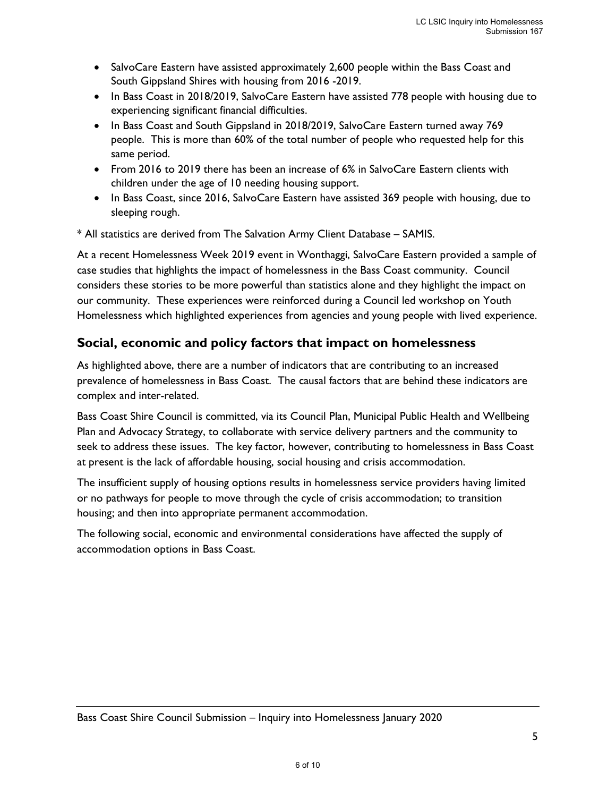- SalvoCare Eastern have assisted approximately 2,600 people within the Bass Coast and South Gippsland Shires with housing from 2016 -2019.
- In Bass Coast in 2018/2019, SalvoCare Eastern have assisted 778 people with housing due to experiencing significant financial difficulties.
- In Bass Coast and South Gippsland in 2018/2019, SalvoCare Eastern turned away 769 people. This is more than 60% of the total number of people who requested help for this same period.
- From 2016 to 2019 there has been an increase of 6% in SalvoCare Eastern clients with children under the age of 10 needing housing support.
- In Bass Coast, since 2016, SalvoCare Eastern have assisted 369 people with housing, due to sleeping rough.

\* All statistics are derived from The Salvation Army Client Database – SAMIS.

At a recent Homelessness Week 2019 event in Wonthaggi, SalvoCare Eastern provided a sample of case studies that highlights the impact of homelessness in the Bass Coast community. Council considers these stories to be more powerful than statistics alone and they highlight the impact on our community. These experiences were reinforced during a Council led workshop on Youth Homelessness which highlighted experiences from agencies and young people with lived experience.

### Social, economic and policy factors that impact on homelessness

As highlighted above, there are a number of indicators that are contributing to an increased prevalence of homelessness in Bass Coast. The causal factors that are behind these indicators are complex and inter-related.

Bass Coast Shire Council is committed, via its Council Plan, Municipal Public Health and Wellbeing Plan and Advocacy Strategy, to collaborate with service delivery partners and the community to seek to address these issues. The key factor, however, contributing to homelessness in Bass Coast at present is the lack of affordable housing, social housing and crisis accommodation.

The insufficient supply of housing options results in homelessness service providers having limited or no pathways for people to move through the cycle of crisis accommodation; to transition housing; and then into appropriate permanent accommodation.

The following social, economic and environmental considerations have affected the supply of accommodation options in Bass Coast.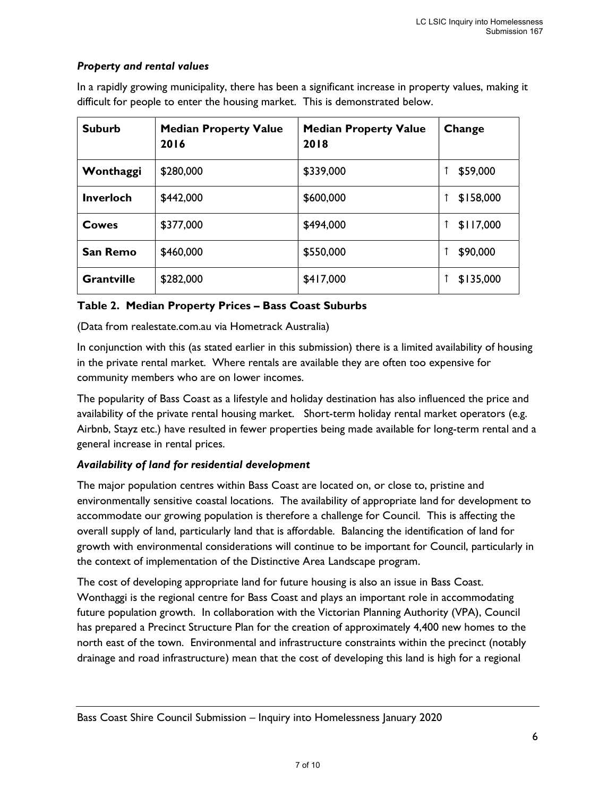#### Property and rental values

| <b>Suburb</b>     | <b>Median Property Value</b><br>2016 | <b>Median Property Value</b><br>2018 | Change    |
|-------------------|--------------------------------------|--------------------------------------|-----------|
| Wonthaggi         | \$280,000                            | \$339,000                            | \$59,000  |
| <b>Inverloch</b>  | \$442,000                            | \$600,000                            | \$158,000 |
| Cowes             | \$377,000                            | \$494,000                            | \$117,000 |
| San Remo          | \$460,000                            | \$550,000                            | \$90,000  |
| <b>Grantville</b> | \$282,000                            | \$417,000                            | \$135,000 |

In a rapidly growing municipality, there has been a significant increase in property values, making it difficult for people to enter the housing market. This is demonstrated below.

#### Table 2. Median Property Prices – Bass Coast Suburbs

(Data from realestate.com.au via Hometrack Australia)

In conjunction with this (as stated earlier in this submission) there is a limited availability of housing in the private rental market. Where rentals are available they are often too expensive for community members who are on lower incomes.

The popularity of Bass Coast as a lifestyle and holiday destination has also influenced the price and availability of the private rental housing market. Short-term holiday rental market operators (e.g. Airbnb, Stayz etc.) have resulted in fewer properties being made available for long-term rental and a general increase in rental prices.

#### Availability of land for residential development

The major population centres within Bass Coast are located on, or close to, pristine and environmentally sensitive coastal locations. The availability of appropriate land for development to accommodate our growing population is therefore a challenge for Council. This is affecting the overall supply of land, particularly land that is affordable. Balancing the identification of land for growth with environmental considerations will continue to be important for Council, particularly in the context of implementation of the Distinctive Area Landscape program.

The cost of developing appropriate land for future housing is also an issue in Bass Coast. Wonthaggi is the regional centre for Bass Coast and plays an important role in accommodating future population growth. In collaboration with the Victorian Planning Authority (VPA), Council has prepared a Precinct Structure Plan for the creation of approximately 4,400 new homes to the north east of the town. Environmental and infrastructure constraints within the precinct (notably drainage and road infrastructure) mean that the cost of developing this land is high for a regional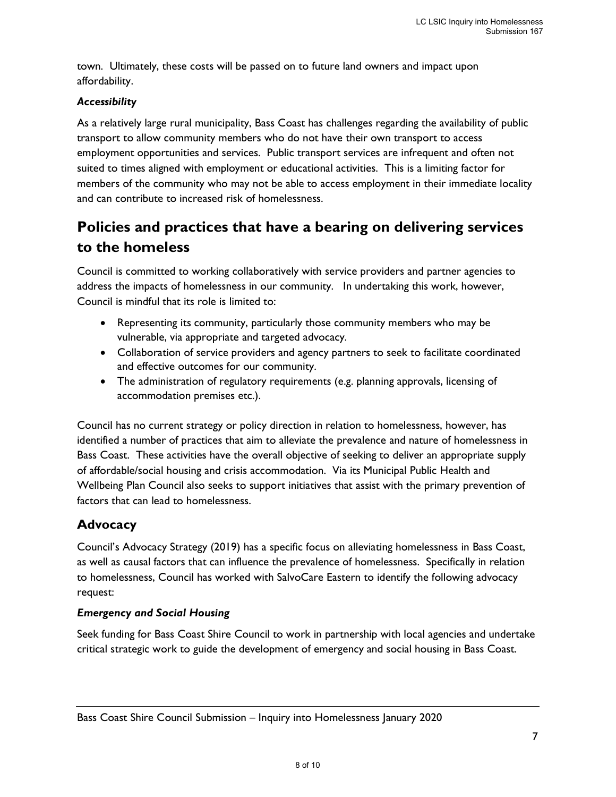town. Ultimately, these costs will be passed on to future land owners and impact upon affordability.

#### Accessibility

As a relatively large rural municipality, Bass Coast has challenges regarding the availability of public transport to allow community members who do not have their own transport to access employment opportunities and services. Public transport services are infrequent and often not suited to times aligned with employment or educational activities. This is a limiting factor for members of the community who may not be able to access employment in their immediate locality and can contribute to increased risk of homelessness.

# Policies and practices that have a bearing on delivering services to the homeless

Council is committed to working collaboratively with service providers and partner agencies to address the impacts of homelessness in our community. In undertaking this work, however, Council is mindful that its role is limited to:

- Representing its community, particularly those community members who may be vulnerable, via appropriate and targeted advocacy.
- Collaboration of service providers and agency partners to seek to facilitate coordinated and effective outcomes for our community.
- The administration of regulatory requirements (e.g. planning approvals, licensing of accommodation premises etc.).

Council has no current strategy or policy direction in relation to homelessness, however, has identified a number of practices that aim to alleviate the prevalence and nature of homelessness in Bass Coast. These activities have the overall objective of seeking to deliver an appropriate supply of affordable/social housing and crisis accommodation. Via its Municipal Public Health and Wellbeing Plan Council also seeks to support initiatives that assist with the primary prevention of factors that can lead to homelessness.

### Advocacy

Council's Advocacy Strategy (2019) has a specific focus on alleviating homelessness in Bass Coast, as well as causal factors that can influence the prevalence of homelessness. Specifically in relation to homelessness, Council has worked with SalvoCare Eastern to identify the following advocacy request:

#### Emergency and Social Housing

Seek funding for Bass Coast Shire Council to work in partnership with local agencies and undertake critical strategic work to guide the development of emergency and social housing in Bass Coast.

Bass Coast Shire Council Submission – Inquiry into Homelessness January 2020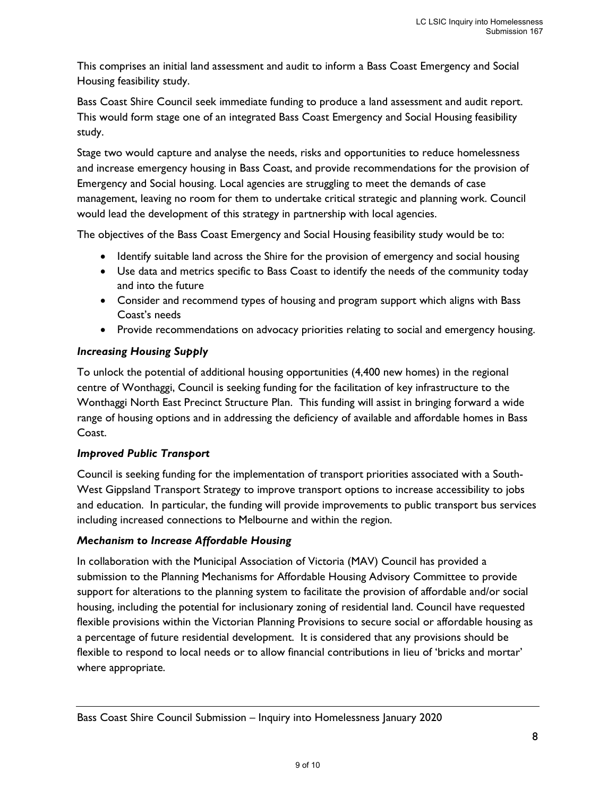This comprises an initial land assessment and audit to inform a Bass Coast Emergency and Social Housing feasibility study.

Bass Coast Shire Council seek immediate funding to produce a land assessment and audit report. This would form stage one of an integrated Bass Coast Emergency and Social Housing feasibility study.

Stage two would capture and analyse the needs, risks and opportunities to reduce homelessness and increase emergency housing in Bass Coast, and provide recommendations for the provision of Emergency and Social housing. Local agencies are struggling to meet the demands of case management, leaving no room for them to undertake critical strategic and planning work. Council would lead the development of this strategy in partnership with local agencies.

The objectives of the Bass Coast Emergency and Social Housing feasibility study would be to:

- Identify suitable land across the Shire for the provision of emergency and social housing
- Use data and metrics specific to Bass Coast to identify the needs of the community today and into the future
- Consider and recommend types of housing and program support which aligns with Bass Coast's needs
- Provide recommendations on advocacy priorities relating to social and emergency housing.

#### Increasing Housing Supply

To unlock the potential of additional housing opportunities (4,400 new homes) in the regional centre of Wonthaggi, Council is seeking funding for the facilitation of key infrastructure to the Wonthaggi North East Precinct Structure Plan. This funding will assist in bringing forward a wide range of housing options and in addressing the deficiency of available and affordable homes in Bass Coast.

#### Improved Public Transport

Council is seeking funding for the implementation of transport priorities associated with a South-West Gippsland Transport Strategy to improve transport options to increase accessibility to jobs and education. In particular, the funding will provide improvements to public transport bus services including increased connections to Melbourne and within the region.

#### Mechanism to Increase Affordable Housing

In collaboration with the Municipal Association of Victoria (MAV) Council has provided a submission to the Planning Mechanisms for Affordable Housing Advisory Committee to provide support for alterations to the planning system to facilitate the provision of affordable and/or social housing, including the potential for inclusionary zoning of residential land. Council have requested flexible provisions within the Victorian Planning Provisions to secure social or affordable housing as a percentage of future residential development. It is considered that any provisions should be flexible to respond to local needs or to allow financial contributions in lieu of 'bricks and mortar' where appropriate.